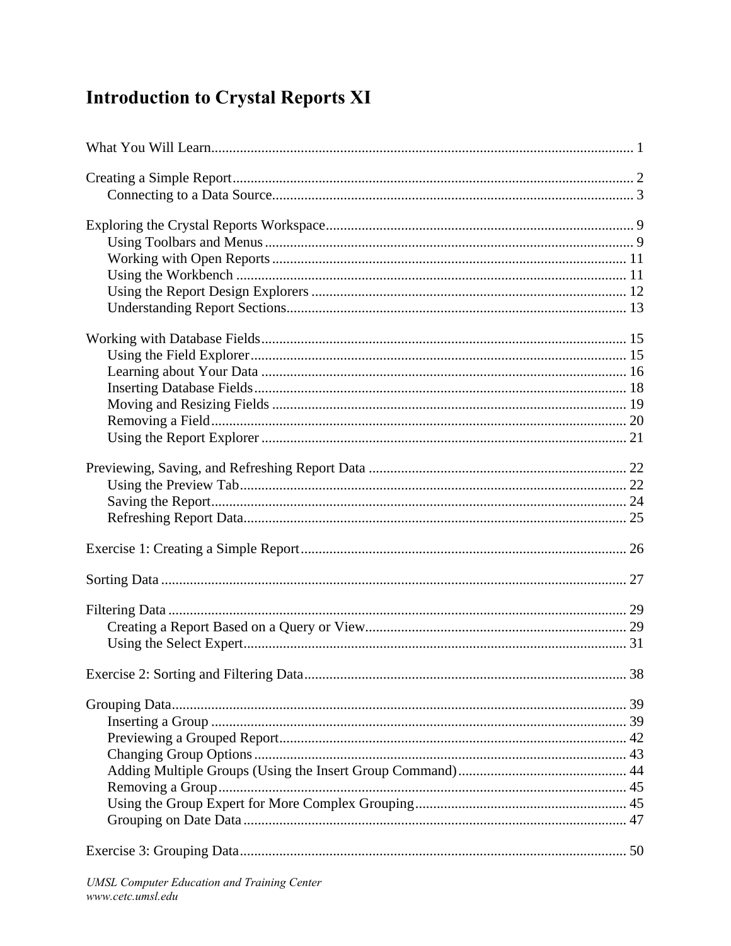## **Introduction to Crystal Reports XI**